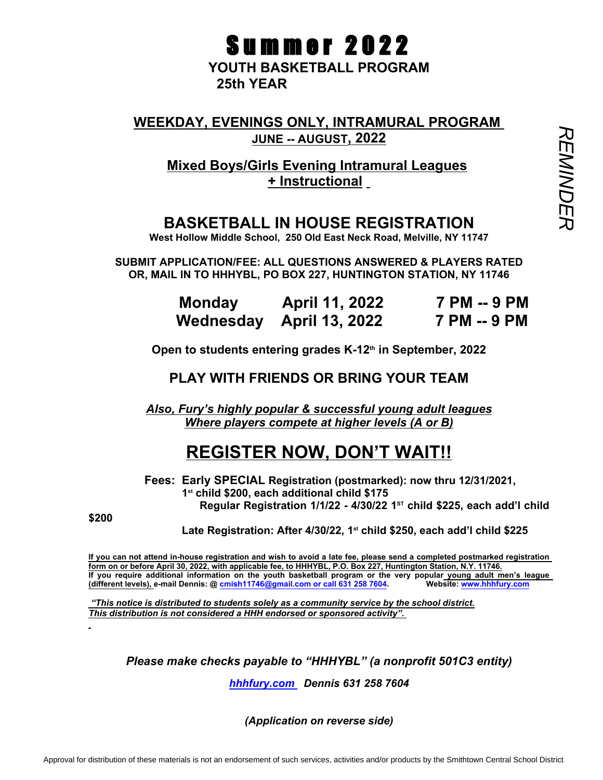# **Summer 2022**

**YOUTH BASKETBALL PROGRAM 25th YEAR** 

WEEKDAY, EVENINGS ONLY, INTRAMURAL PROGRAM<br>
JUNE -- AUGUST, 2022<br>
Mixed Boys/Girls Evening Intramural Leagues<br>
<u>Histructional</u><br>
BASKETBALL IN HOUSE REGISTRATION **JUNE -- AUGUST, 2022**

**Mixed Boys/Girls Evening Intramural Leagues + Instructional**

## **BASKETBALL IN HOUSE REGISTRATION**

**West Hollow Middle School, 250 Old East Neck Road, Melville, NY 11747**

**SUBMIT APPLICATION/FEE: ALL QUESTIONS ANSWERED & PLAYERS RATED OR, MAIL IN TO HHHYBL, PO BOX 227, HUNTINGTON STATION, NY 11746**

| <b>Monday</b> | <b>April 11, 2022</b>    | 7 PM -- 9 PM |
|---------------|--------------------------|--------------|
|               | Wednesday April 13, 2022 | 7 PM -- 9 PM |

**Open to students entering grades K-12th in September, 2022**

**PLAY WITH FRIENDS OR BRING YOUR TEAM**

*Also, Fury's highly popular & successful young adult leagues Where players compete at higher levels (A or B)*

## **REGISTER NOW, DON'T WAIT!!**

 **Fees: Early SPECIAL Registration (postmarked): now thru 12/31/2021, 1st child \$200, each additional child \$175 Regular Registration 1/1/22 - 4/30/22 1 ST child \$225, each add'l child** 

**\$200** 

 **Late Registration: After 4/30/22, 1st child \$250, each add'l child \$225** 

**If you can not attend in-house registration and wish to avoid a late fee, please send a completed postmarked registration form on or before April 30, 2022, with applicable fee, to HHHYBL, P.O. Box 227, Huntington Station, N.Y. 11746. If you require additional information on the youth basketball program or the very popular young adult men's league (different levels), e-mail Dennis: @ cmish11746@gmail.com or call 631 258 7604. Website: www.hhhfury.com**

 *"This notice is distributed to students solely as a community service by the school district. This distribution is not considered a HHH endorsed or sponsored activity".* 

*Please make checks payable to "HHHYBL" (a nonprofit 501C3 entity)*

*hhhfury.com Dennis 631 258 7604*

*(Application on reverse side)*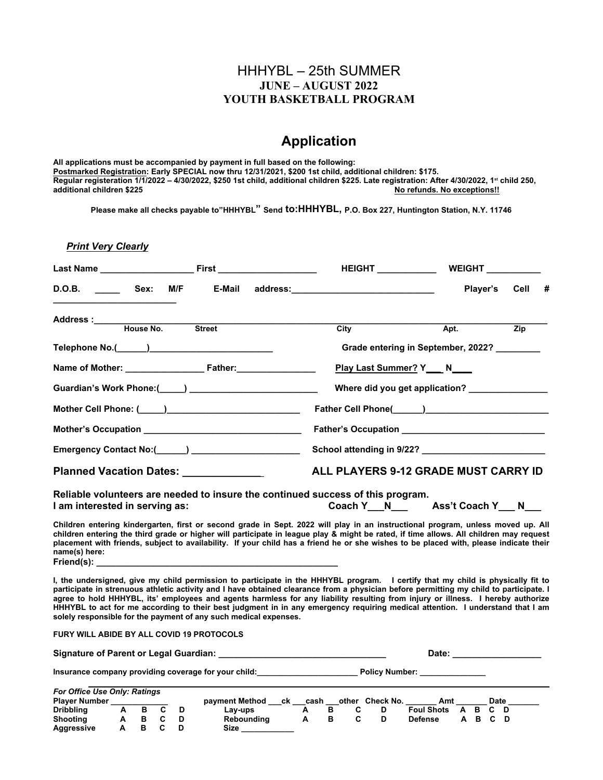#### HHHYBL – 25th SUMMER **JUNE – AUGUST 2022 YOUTH BASKETBALL PROGRAM**

### **Application**

**All applications must be accompanied by payment in full based on the following: Postmarked Registration: Early SPECIAL now thru 12/31/2021, \$200 1st child, additional children: \$175. Regular registeration 1/1/2022 – 4/30/2022, \$250 1st child, additional children \$225. Late registration: After 4/30/2022, 1st child 250, additional children \$225 No refunds. No exceptions!!** 

**Please make all checks payable to"HHHYBL" Send to:HHHYBL, P.O. Box 227, Huntington Station, N.Y. 11746**

**Print Very Clearly** 

|                                                                                                                                                                                                                                                                                                                                                                                                                                                                                                                                                                                                                   |        | HEIGHT ____________                  | <b>WEIGHT</b>                                 |                  |  |  |  |  |  |  |
|-------------------------------------------------------------------------------------------------------------------------------------------------------------------------------------------------------------------------------------------------------------------------------------------------------------------------------------------------------------------------------------------------------------------------------------------------------------------------------------------------------------------------------------------------------------------------------------------------------------------|--------|--------------------------------------|-----------------------------------------------|------------------|--|--|--|--|--|--|
|                                                                                                                                                                                                                                                                                                                                                                                                                                                                                                                                                                                                                   | E-Mail |                                      | Player's                                      | Cell<br>#        |  |  |  |  |  |  |
| Address :_____<br>House No.                                                                                                                                                                                                                                                                                                                                                                                                                                                                                                                                                                                       | Street | $\overline{City}$                    | Apt.                                          | $\overline{Zip}$ |  |  |  |  |  |  |
|                                                                                                                                                                                                                                                                                                                                                                                                                                                                                                                                                                                                                   |        |                                      | Grade entering in September, 2022? ________   |                  |  |  |  |  |  |  |
|                                                                                                                                                                                                                                                                                                                                                                                                                                                                                                                                                                                                                   |        | Play Last Summer? Y___ N___          |                                               |                  |  |  |  |  |  |  |
|                                                                                                                                                                                                                                                                                                                                                                                                                                                                                                                                                                                                                   |        |                                      | Where did you get application? ______________ |                  |  |  |  |  |  |  |
|                                                                                                                                                                                                                                                                                                                                                                                                                                                                                                                                                                                                                   |        |                                      |                                               |                  |  |  |  |  |  |  |
|                                                                                                                                                                                                                                                                                                                                                                                                                                                                                                                                                                                                                   |        |                                      |                                               |                  |  |  |  |  |  |  |
|                                                                                                                                                                                                                                                                                                                                                                                                                                                                                                                                                                                                                   |        |                                      |                                               |                  |  |  |  |  |  |  |
| Planned Vacation Dates: _____________                                                                                                                                                                                                                                                                                                                                                                                                                                                                                                                                                                             |        | ALL PLAYERS 9-12 GRADE MUST CARRY ID |                                               |                  |  |  |  |  |  |  |
| Reliable volunteers are needed to insure the continued success of this program.<br>I am interested in serving as:                                                                                                                                                                                                                                                                                                                                                                                                                                                                                                 |        |                                      | Coach Y N Ass't Coach Y N                     |                  |  |  |  |  |  |  |
| Children entering kindergarten, first or second grade in Sept. 2022 will play in an instructional program, unless moved up. All<br>children entering the third grade or higher will participate in league play & might be rated, if time allows. All children may request<br>placement with friends, subject to availability. If your child has a friend he or she wishes to be placed with, please indicate their<br>name(s) here:                                                                                                                                                                               |        |                                      |                                               |                  |  |  |  |  |  |  |
|                                                                                                                                                                                                                                                                                                                                                                                                                                                                                                                                                                                                                   |        |                                      |                                               |                  |  |  |  |  |  |  |
| I, the undersigned, give my child permission to participate in the HHHYBL program. I certify that my child is physically fit to<br>participate in strenuous athletic activity and I have obtained clearance from a physician before permitting my child to participate. I<br>agree to hold HHHYBL, its' employees and agents harmless for any liability resulting from injury or illness. I hereby authorize<br>HHHYBL to act for me according to their best judgment in in any emergency requiring medical attention. I understand that I am<br>solely responsible for the payment of any such medical expenses. |        |                                      |                                               |                  |  |  |  |  |  |  |
| FURY WILL ABIDE BY ALL COVID 19 PROTOCOLS                                                                                                                                                                                                                                                                                                                                                                                                                                                                                                                                                                         |        |                                      |                                               |                  |  |  |  |  |  |  |
|                                                                                                                                                                                                                                                                                                                                                                                                                                                                                                                                                                                                                   |        |                                      |                                               |                  |  |  |  |  |  |  |

| For Office Use Only: Ratings |   |  |                      |      |  |                 |                   |          |         |      |  |
|------------------------------|---|--|----------------------|------|--|-----------------|-------------------|----------|---------|------|--|
| <b>Player Number</b>         |   |  | payment Method<br>ck | cash |  | other Check No. | Amt               |          |         | Date |  |
| <b>Dribbling</b>             | в |  | Lav-ups              |      |  |                 | <b>Foul Shots</b> | <b>A</b> | BCD     |      |  |
| <b>Shooting</b>              |   |  | Reboundina           |      |  |                 | Defense           |          | A B C D |      |  |
| <b>Aggressive</b>            |   |  | Size                 |      |  |                 |                   |          |         |      |  |